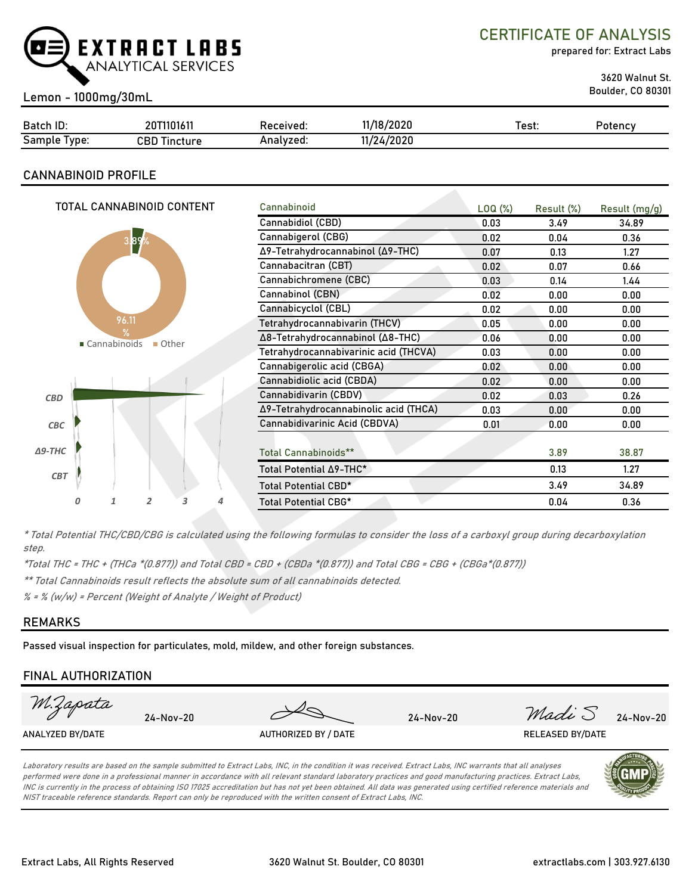

CERTIFICATE OF ANALYSIS

prepared for: Extract Labs

3620 Walnut St.

# Boulder, CO 80301 Lemon - 1000mg/30mL

| Batch ID:       | 20T1101611<br>20 I | Received: | 11/18/2020 | Test: | Potency |
|-----------------|--------------------|-----------|------------|-------|---------|
| Sample<br>Type: | CBD<br>Tincture    | Analvzed: | 11/24/2020 |       |         |

# **CANNABINOID PROFILE**

|                | TOTAL CANNABINOID CONTENT |                                 |                |   |   | Cannabinoid                           | LOQ (%) | Result (%) | Result $(mg/g)$ |
|----------------|---------------------------|---------------------------------|----------------|---|---|---------------------------------------|---------|------------|-----------------|
|                |                           |                                 |                |   |   | Cannabidiol (CBD)                     | 0.03    | 3.49       | 34.89           |
|                |                           | 3.89                            |                |   |   | Cannabigerol (CBG)                    | 0.02    | 0.04       | 0.36            |
|                |                           |                                 |                |   |   | Δ9-Tetrahydrocannabinol (Δ9-THC)      | 0.07    | 0.13       | 1.27            |
|                |                           |                                 |                |   |   | Cannabacitran (CBT)                   | 0.02    | 0.07       | 0.66            |
|                |                           |                                 |                |   |   | Cannabichromene (CBC)                 | 0.03    | 0.14       | 1.44            |
|                |                           |                                 |                |   |   | Cannabinol (CBN)                      | 0.02    | 0.00       | 0.00            |
|                |                           |                                 |                |   |   | Cannabicyclol (CBL)                   | 0.02    | 0.00       | 0.00            |
|                |                           | 96.11                           |                |   |   | Tetrahydrocannabivarin (THCV)         | 0.05    | 0.00       | 0.00            |
|                |                           | $\frac{9}{6}$<br>■ Cannabinoids | Other          |   |   | Δ8-Tetrahydrocannabinol (Δ8-THC)      | 0.06    | 0.00       | 0.00            |
|                |                           |                                 |                |   |   | Tetrahydrocannabivarinic acid (THCVA) | 0.03    | 0.00       | 0.00            |
|                |                           |                                 |                |   |   | Cannabigerolic acid (CBGA)            | 0.02    | 0.00       | 0.00            |
|                |                           |                                 |                |   |   | Cannabidiolic acid (CBDA)             | 0.02    | 0.00       | 0.00            |
| <b>CBD</b>     |                           |                                 |                |   |   | Cannabidivarin (CBDV)                 | 0.02    | 0.03       | 0.26            |
|                |                           |                                 |                |   |   | Δ9-Tetrahydrocannabinolic acid (THCA) | 0.03    | 0.00       | 0.00            |
| CBC            |                           |                                 |                |   |   | Cannabidivarinic Acid (CBDVA)         | 0.01    | 0.00       | 0.00            |
|                |                           |                                 |                |   |   |                                       |         |            |                 |
| $\Delta$ 9-THC |                           |                                 |                |   |   | <b>Total Cannabinoids**</b>           |         | 3.89       | 38.87           |
| <b>CBT</b>     |                           |                                 |                |   |   | Total Potential $\Delta$ 9-THC*       |         | 0.13       | 1.27            |
|                |                           |                                 |                |   |   | Total Potential CBD*                  |         | 3.49       | 34.89           |
|                | 0                         | 1                               | $\overline{2}$ | 3 | 4 | <b>Total Potential CBG*</b>           |         | 0.04       | 0.36            |

\* Total Potential THC/CBD/CBG is calculated using the following formulas to consider the loss of a carboxyl group during decarboxylation step.

\*Total THC = THC + (THCa \*(0.877)) and Total CBD = CBD + (CBDa \*(0.877)) and Total CBG = CBG + (CBGa\*(0.877))

\*\* Total Cannabinoids result reflects the absolute sum of all cannabinoids detected.

% = % (w/w) = Percent (Weight of Analyte / Weight of Product)

# **REMARKS**

Passed visual inspection for particulates, mold, mildew, and other foreign substances.

# **FINAL AUTHORIZATION**

| M.Zapata         | 24-Nov-20 |                      | 24-Nov-20 | Madi S           | 24-Nov-20 |
|------------------|-----------|----------------------|-----------|------------------|-----------|
| ANALYZED BY/DATE |           | AUTHORIZED BY / DATE |           | RELEASED BY/DATE |           |
|                  |           |                      |           |                  |           |

Laboratory results are based on the sample submitted to Extract Labs, INC, in the condition it was received. Extract Labs, INC warrants that all analyses performed were done in a professional manner in accordance with all relevant standard laboratory practices and good manufacturing practices. Extract Labs, INC is currently in the process of obtaining ISO 17025 accreditation but has not yet been obtained. All data was generated using certified reference materials and NIST traceable reference standards. Report can only be reproduced with the written consent of Extract Labs, INC.

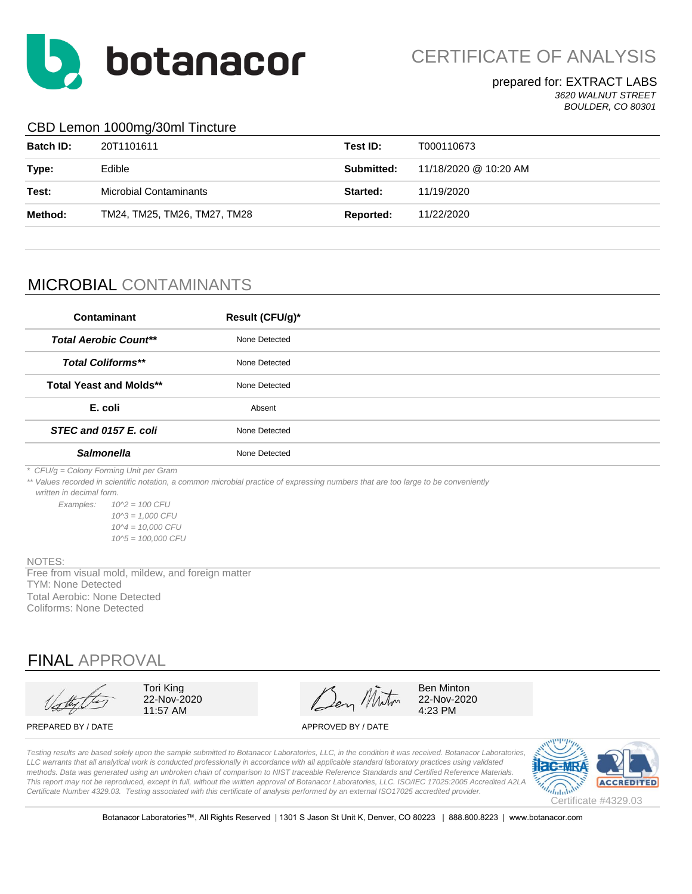

CERTIFICATE OF ANALYSIS

prepared for: EXTRACT LABS *3620 WALNUT STREET BOULDER, CO 80301*

# CBD Lemon 1000mg/30ml Tincture

| <b>Batch ID:</b> | 20T1101611                   | Test ID:   | T000110673            |
|------------------|------------------------------|------------|-----------------------|
| Type:            | Edible                       | Submitted: | 11/18/2020 @ 10:20 AM |
| Test:            | Microbial Contaminants       | Started:   | 11/19/2020            |
| Method:          | TM24, TM25, TM26, TM27, TM28 | Reported:  | 11/22/2020            |
|                  |                              |            |                       |

# MICROBIAL CONTAMINANTS

| Contaminant                    | Result (CFU/g)* |  |
|--------------------------------|-----------------|--|
| <b>Total Aerobic Count**</b>   | None Detected   |  |
| <b>Total Coliforms**</b>       | None Detected   |  |
| <b>Total Yeast and Molds**</b> | None Detected   |  |
| E. coli                        | Absent          |  |
| STEC and 0157 E. coli          | None Detected   |  |
| <b>Salmonella</b>              | None Detected   |  |

*\* CFU/g = Colony Forming Unit per Gram*

*\*\* Values recorded in scientific notation, a common microbial practice of expressing numbers that are too large to be conveniently* 

 *written in decimal form.*

*Examples: 10^2 = 100 CFU 10^3 = 1,000 CFU 10^4 = 10,000 CFU 10^5 = 100,000 CFU*

#### NOTES:

Total Aerobic: None Detected Coliforms: None Detected TYM: None Detected Free from visual mold, mildew, and foreign matter

# FINAL APPROVAL



Tori King 22-Nov-2020 11:57 AM

Den Miton

Ben Minton 22-Nov-2020 4:23 PM

#### PREPARED BY / DATE APPROVED BY / DATE

*Testing results are based solely upon the sample submitted to Botanacor Laboratories, LLC, in the condition it was received. Botanacor Laboratories,*  LLC warrants that all analytical work is conducted professionally in accordance with all applicable standard laboratory practices using validated *methods. Data was generated using an unbroken chain of comparison to NIST traceable Reference Standards and Certified Reference Materials. This report may not be reproduced, except in full, without the written approval of Botanacor Laboratories, LLC. ISO/IEC 17025:2005 Accredited A2LA Certificate Number 4329.03. Testing associated with this certificate of analysis performed by an external ISO17025 accredited provider.*



Botanacor Laboratories™, All Rights Reserved | 1301 S Jason St Unit K, Denver, CO 80223 | 888.800.8223 | www.botanacor.com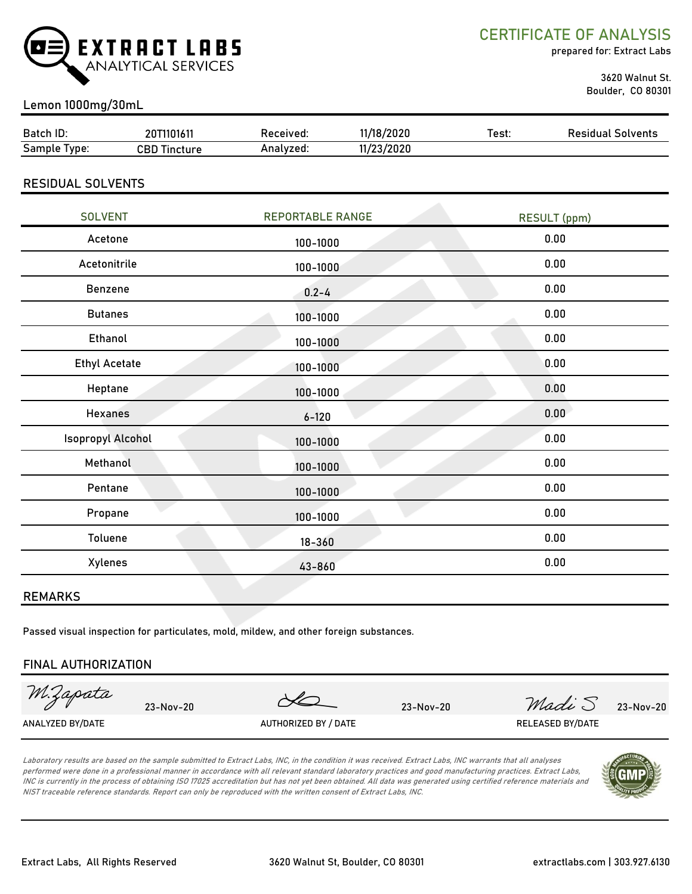

CERTIFICATE OF ANALYSIS

prepared for: Extract Labs

 3620 Walnut St. Boulder, CO 80301

# Lemon 1000mg/30mL

| Batch ID:                | 20T1101611          | Received: | 11/18/2020 | Test: | <b>Residual Solvents</b> |
|--------------------------|---------------------|-----------|------------|-------|--------------------------|
| Sample Type:             | <b>CBD Tincture</b> | Analyzed: | 11/23/2020 |       |                          |
|                          |                     |           |            |       |                          |
| <b>RESIDUAL SOLVENTS</b> |                     |           |            |       |                          |
|                          |                     |           |            |       |                          |

| <b>SOLVENT</b>           | <b>REPORTABLE RANGE</b> | <b>RESULT</b> (ppm) |
|--------------------------|-------------------------|---------------------|
| Acetone                  | 100-1000                | 0.00                |
| Acetonitrile             | 100-1000                | 0.00                |
| Benzene                  | $0.2 - 4$               | 0.00                |
| <b>Butanes</b>           | 100-1000                | 0.00                |
| Ethanol                  | 100-1000                | 0.00                |
| <b>Ethyl Acetate</b>     | 100-1000                | 0.00                |
| Heptane                  | 100-1000                | 0.00                |
| <b>Hexanes</b>           | $6 - 120$               | 0.00                |
| <b>Isopropyl Alcohol</b> | 100-1000                | 0.00                |
| Methanol                 | 100-1000                | 0.00                |
| Pentane                  | 100-1000                | 0.00                |
| Propane                  | 100-1000                | 0.00                |
| Toluene                  | $18 - 360$              | 0.00                |
| Xylenes                  | 43-860                  | 0.00                |
|                          |                         |                     |

#### REMARKS

Passed visual inspection for particulates, mold, mildew, and other foreign substances.

#### FINAL AUTHORIZATION

M.Zapata

23-Nov-20 23-Nov-20 23-Nov-20 *Madi* 5 23-Nov-20

ANALYZED BY/DATE AUTHORIZED BY / DATE AUTHORIZED BY / DATE RELEASED BY/DATE

Laboratory results are based on the sample submitted to Extract Labs, INC, in the condition it was received. Extract Labs, INC warrants that all analyses performed were done in a professional manner in accordance with all relevant standard laboratory practices and good manufacturing practices. Extract Labs, INC is currently in the process of obtaining ISO 17025 accreditation but has not yet been obtained. All data was generated using certified reference materials and NIST traceable reference standards. Report can only be reproduced with the written consent of Extract Labs, INC.